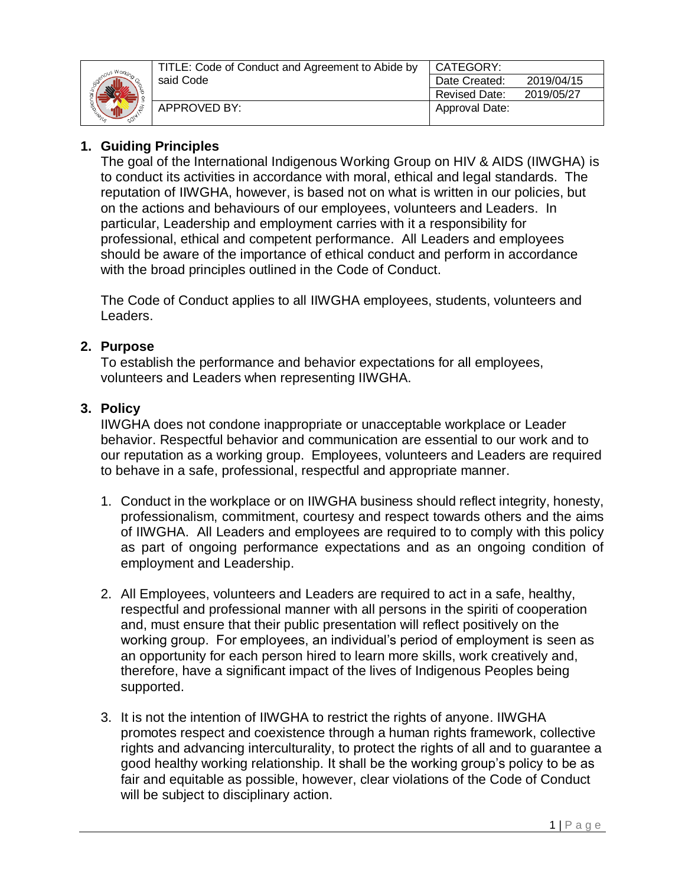

| CATEGORY:            |            |  |
|----------------------|------------|--|
| Date Created:        | 2019/04/15 |  |
| <b>Revised Date:</b> | 2019/05/27 |  |
| Approval Date:       |            |  |
|                      |            |  |

## **1. Guiding Principles**

The goal of the International Indigenous Working Group on HIV & AIDS (IIWGHA) is to conduct its activities in accordance with moral, ethical and legal standards. The reputation of IIWGHA, however, is based not on what is written in our policies, but on the actions and behaviours of our employees, volunteers and Leaders. In particular, Leadership and employment carries with it a responsibility for professional, ethical and competent performance. All Leaders and employees should be aware of the importance of ethical conduct and perform in accordance with the broad principles outlined in the Code of Conduct.

The Code of Conduct applies to all IIWGHA employees, students, volunteers and Leaders.

#### **2. Purpose**

To establish the performance and behavior expectations for all employees, volunteers and Leaders when representing IIWGHA.

### **3. Policy**

IIWGHA does not condone inappropriate or unacceptable workplace or Leader behavior. Respectful behavior and communication are essential to our work and to our reputation as a working group. Employees, volunteers and Leaders are required to behave in a safe, professional, respectful and appropriate manner.

- 1. Conduct in the workplace or on IIWGHA business should reflect integrity, honesty, professionalism, commitment, courtesy and respect towards others and the aims of IIWGHA. All Leaders and employees are required to to comply with this policy as part of ongoing performance expectations and as an ongoing condition of employment and Leadership.
- 2. All Employees, volunteers and Leaders are required to act in a safe, healthy, respectful and professional manner with all persons in the spiriti of cooperation and, must ensure that their public presentation will reflect positively on the working group. For employees, an individual's period of employment is seen as an opportunity for each person hired to learn more skills, work creatively and, therefore, have a significant impact of the lives of Indigenous Peoples being supported.
- 3. It is not the intention of IIWGHA to restrict the rights of anyone. IIWGHA promotes respect and coexistence through a human rights framework, collective rights and advancing interculturality, to protect the rights of all and to guarantee a good healthy working relationship. It shall be the working group's policy to be as fair and equitable as possible, however, clear violations of the Code of Conduct will be subject to disciplinary action.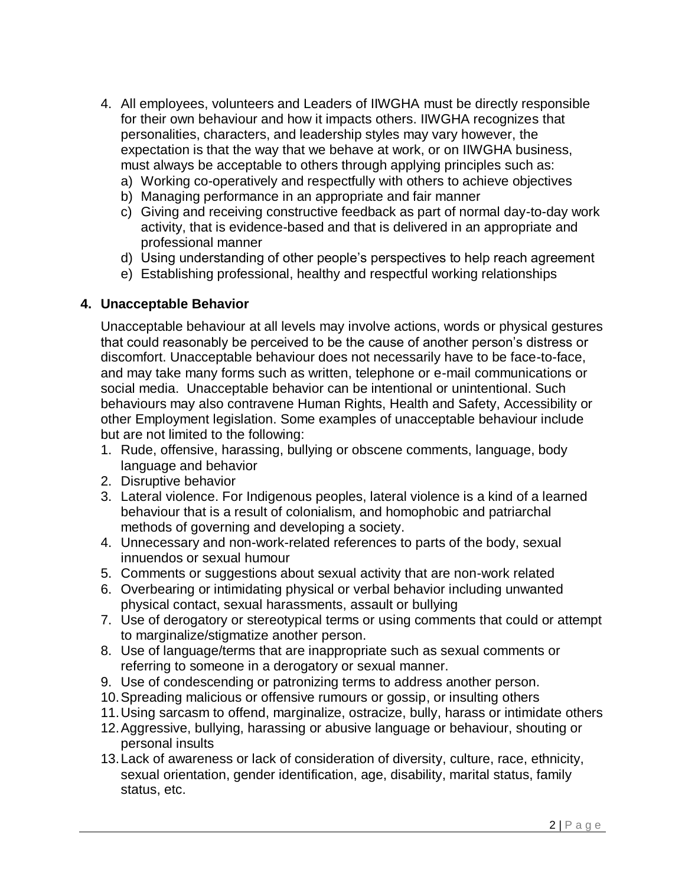- 4. All employees, volunteers and Leaders of IIWGHA must be directly responsible for their own behaviour and how it impacts others. IIWGHA recognizes that personalities, characters, and leadership styles may vary however, the expectation is that the way that we behave at work, or on IIWGHA business, must always be acceptable to others through applying principles such as:
	- a) Working co-operatively and respectfully with others to achieve objectives
	- b) Managing performance in an appropriate and fair manner
	- c) Giving and receiving constructive feedback as part of normal day-to-day work activity, that is evidence-based and that is delivered in an appropriate and professional manner
	- d) Using understanding of other people's perspectives to help reach agreement
	- e) Establishing professional, healthy and respectful working relationships

#### **4. Unacceptable Behavior**

Unacceptable behaviour at all levels may involve actions, words or physical gestures that could reasonably be perceived to be the cause of another person's distress or discomfort. Unacceptable behaviour does not necessarily have to be face-to-face, and may take many forms such as written, telephone or e-mail communications or social media. Unacceptable behavior can be intentional or unintentional. Such behaviours may also contravene Human Rights, Health and Safety, Accessibility or other Employment legislation. Some examples of unacceptable behaviour include but are not limited to the following:

- 1. Rude, offensive, harassing, bullying or obscene comments, language, body language and behavior
- 2. Disruptive behavior
- 3. Lateral violence. For Indigenous peoples, lateral violence is a kind of a learned behaviour that is a result of colonialism, and homophobic and patriarchal methods of governing and developing a society.
- 4. Unnecessary and non-work-related references to parts of the body, sexual innuendos or sexual humour
- 5. Comments or suggestions about sexual activity that are non-work related
- 6. Overbearing or intimidating physical or verbal behavior including unwanted physical contact, sexual harassments, assault or bullying
- 7. Use of derogatory or stereotypical terms or using comments that could or attempt to marginalize/stigmatize another person.
- 8. Use of language/terms that are inappropriate such as sexual comments or referring to someone in a derogatory or sexual manner.
- 9. Use of condescending or patronizing terms to address another person.
- 10.Spreading malicious or offensive rumours or gossip, or insulting others
- 11.Using sarcasm to offend, marginalize, ostracize, bully, harass or intimidate others
- 12.Aggressive, bullying, harassing or abusive language or behaviour, shouting or personal insults
- 13.Lack of awareness or lack of consideration of diversity, culture, race, ethnicity, sexual orientation, gender identification, age, disability, marital status, family status, etc.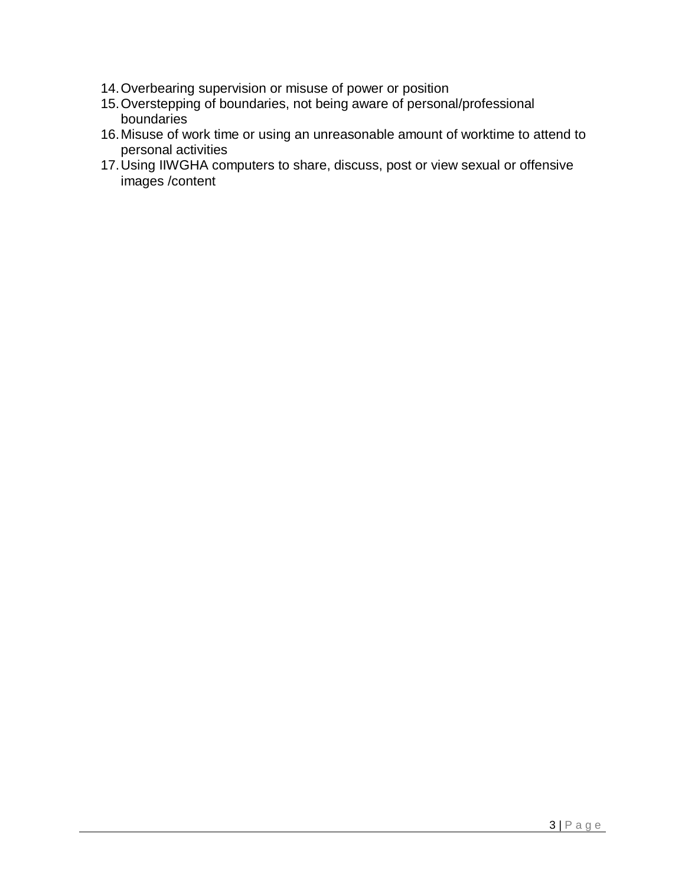- 14.Overbearing supervision or misuse of power or position
- 15.Overstepping of boundaries, not being aware of personal/professional boundaries
- 16.Misuse of work time or using an unreasonable amount of worktime to attend to personal activities
- 17.Using IIWGHA computers to share, discuss, post or view sexual or offensive images /content